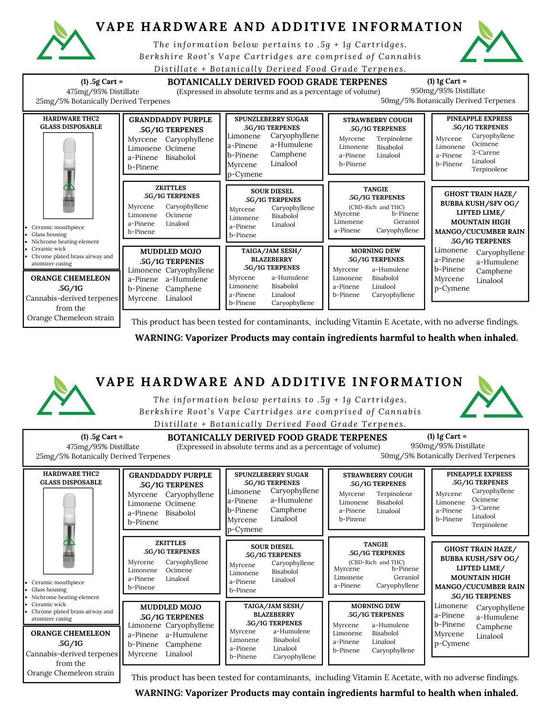

## **VAPE HARDWARE AND ADDITIVE INFORMATION**

*The information b e low pe r tains to .5g + 1 g Car t r idg e s .* Berkshire Root's Vape Cartridges are comprised of Cannabis

*Di s tillat e + Botani call y De r ived Food Grade Te rpene s .*





This product has been tested for contaminants, including Vitamin E Acetate, with no adverse findings.

**WARNING: Vaporizer Products may contain ingredients harmful to health when inhaled.**



This product has been tested for contaminants, including Vitamin E Acetate, with no adverse findings.

**WARNING: Vaporizer Products may contain ingredients harmful to health when inhaled.**